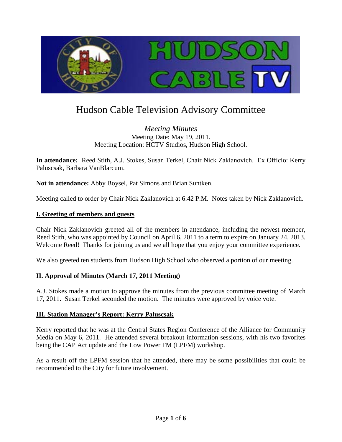

# Hudson Cable Television Advisory Committee

*Meeting Minutes* Meeting Date: May 19, 2011. Meeting Location: HCTV Studios, Hudson High School.

**In attendance:** Reed Stith, A.J. Stokes, Susan Terkel, Chair Nick Zaklanovich. Ex Officio: Kerry Paluscsak, Barbara VanBlarcum.

**Not in attendance:** Abby Boysel, Pat Simons and Brian Suntken.

Meeting called to order by Chair Nick Zaklanovich at 6:42 P.M. Notes taken by Nick Zaklanovich.

#### **I. Greeting of members and guests**

Chair Nick Zaklanovich greeted all of the members in attendance, including the newest member, Reed Stith, who was appointed by Council on April 6, 2011 to a term to expire on January 24, 2013. Welcome Reed! Thanks for joining us and we all hope that you enjoy your committee experience.

We also greeted ten students from Hudson High School who observed a portion of our meeting.

#### **II. Approval of Minutes (March 17, 2011 Meeting)**

A.J. Stokes made a motion to approve the minutes from the previous committee meeting of March 17, 2011. Susan Terkel seconded the motion. The minutes were approved by voice vote.

#### **III. Station Manager's Report: Kerry Paluscsak**

Kerry reported that he was at the Central States Region Conference of the Alliance for Community Media on May 6, 2011. He attended several breakout information sessions, with his two favorites being the CAP Act update and the Low Power FM (LPFM) workshop.

As a result off the LPFM session that he attended, there may be some possibilities that could be recommended to the City for future involvement.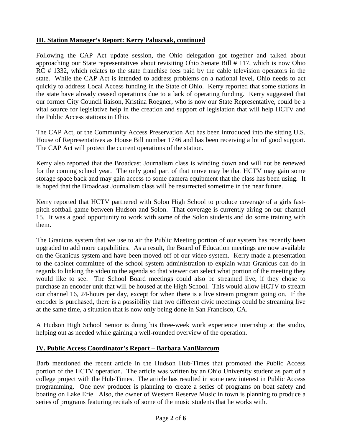# **III. Station Manager's Report: Kerry Paluscsak, continued**

Following the CAP Act update session, the Ohio delegation got together and talked about approaching our State representatives about revisiting Ohio Senate Bill # 117, which is now Ohio RC # 1332, which relates to the state franchise fees paid by the cable television operators in the state. While the CAP Act is intended to address problems on a national level, Ohio needs to act quickly to address Local Access funding in the State of Ohio. Kerry reported that some stations in the state have already ceased operations due to a lack of operating funding. Kerry suggested that our former City Council liaison, Kristina Roegner, who is now our State Representative, could be a vital source for legislative help in the creation and support of legislation that will help HCTV and the Public Access stations in Ohio.

The CAP Act, or the Community Access Preservation Act has been introduced into the sitting U.S. House of Representatives as House Bill number 1746 and has been receiving a lot of good support. The CAP Act will protect the current operations of the station.

Kerry also reported that the Broadcast Journalism class is winding down and will not be renewed for the coming school year. The only good part of that move may be that HCTV may gain some storage space back and may gain access to some camera equipment that the class has been using. It is hoped that the Broadcast Journalism class will be resurrected sometime in the near future.

Kerry reported that HCTV partnered with Solon High School to produce coverage of a girls fastpitch softball game between Hudson and Solon. That coverage is currently airing on our channel 15. It was a good opportunity to work with some of the Solon students and do some training with them.

The Granicus system that we use to air the Public Meeting portion of our system has recently been upgraded to add more capabilities. As a result, the Board of Education meetings are now available on the Granicus system and have been moved off of our video system. Kerry made a presentation to the cabinet committee of the school system administration to explain what Granicus can do in regards to linking the video to the agenda so that viewer can select what portion of the meeting they would like to see. The School Board meetings could also be streamed live, if they chose to purchase an encoder unit that will be housed at the High School. This would allow HCTV to stream our channel 16, 24-hours per day, except for when there is a live stream program going on. If the encoder is purchased, there is a possibility that two different civic meetings could be streaming live at the same time, a situation that is now only being done in San Francisco, CA.

A Hudson High School Senior is doing his three-week work experience internship at the studio, helping out as needed while gaining a well-rounded overview of the operation.

## **IV. Public Access Coordinator's Report – Barbara VanBlarcum**

Barb mentioned the recent article in the Hudson Hub-Times that promoted the Public Access portion of the HCTV operation. The article was written by an Ohio University student as part of a college project with the Hub-Times. The article has resulted in some new interest in Public Access programming. One new producer is planning to create a series of programs on boat safety and boating on Lake Erie. Also, the owner of Western Reserve Music in town is planning to produce a series of programs featuring recitals of some of the music students that he works with.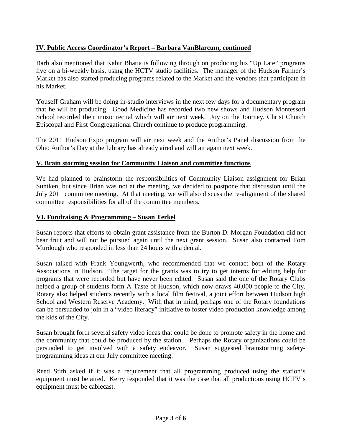## **IV. Public Access Coordinator's Report – Barbara VanBlarcum, continued**

Barb also mentioned that Kabir Bhatia is following through on producing his "Up Late" programs live on a bi-weekly basis, using the HCTV studio facilities. The manager of the Hudson Farmer's Market has also started producing programs related to the Market and the vendors that participate in his Market.

Youseff Graham will be doing in-studio interviews in the next few days for a documentary program that he will be producing. Good Medicine has recorded two new shows and Hudson Montessori School recorded their music recital which will air next week. Joy on the Journey, Christ Church Episcopal and First Congregational Church continue to produce programming.

The 2011 Hudson Expo program will air next week and the Author's Panel discussion from the Ohio Author's Day at the Library has already aired and will air again next week.

## **V. Brain storming session for Community Liaison and committee functions**

We had planned to brainstorm the responsibilities of Community Liaison assignment for Brian Suntken, but since Brian was not at the meeting, we decided to postpone that discussion until the July 2011 committee meeting. At that meeting, we will also discuss the re-alignment of the shared committee responsibilities for all of the committee members.

#### **VI. Fundraising & Programming – Susan Terkel**

Susan reports that efforts to obtain grant assistance from the Burton D. Morgan Foundation did not bear fruit and will not be pursued again until the next grant session. Susan also contacted Tom Murdough who responded in less than 24 hours with a denial.

Susan talked with Frank Youngwerth, who recommended that we contact both of the Rotary Associations in Hudson. The target for the grants was to try to get interns for editing help for programs that were recorded but have never been edited. Susan said the one of the Rotary Clubs helped a group of students form A Taste of Hudson, which now draws 40,000 people to the City. Rotary also helped students recently with a local film festival, a joint effort between Hudson high School and Western Reserve Academy. With that in mind, perhaps one of the Rotary foundations can be persuaded to join in a "video literacy" initiative to foster video production knowledge among the kids of the City.

Susan brought forth several safety video ideas that could be done to promote safety in the home and the community that could be produced by the station. Perhaps the Rotary organizations could be persuaded to get involved with a safety endeavor. Susan suggested brainstorming safetyprogramming ideas at our July committee meeting.

Reed Stith asked if it was a requirement that all programming produced using the station's equipment must be aired. Kerry responded that it was the case that all productions using HCTV's equipment must be cablecast.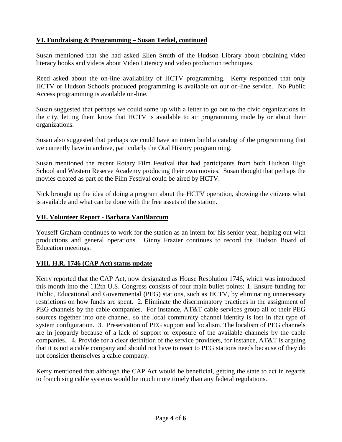# **VI. Fundraising & Programming – Susan Terkel, continued**

Susan mentioned that she had asked Ellen Smith of the Hudson Library about obtaining video literacy books and videos about Video Literacy and video production techniques.

Reed asked about the on-line availability of HCTV programming. Kerry responded that only HCTV or Hudson Schools produced programming is available on our on-line service. No Public Access programming is available on-line.

Susan suggested that perhaps we could some up with a letter to go out to the civic organizations in the city, letting them know that HCTV is available to air programming made by or about their organizations.

Susan also suggested that perhaps we could have an intern build a catalog of the programming that we currently have in archive, particularly the Oral History programming.

Susan mentioned the recent Rotary Film Festival that had participants from both Hudson High School and Western Reserve Academy producing their own movies. Susan thought that perhaps the movies created as part of the Film Festival could be aired by HCTV.

Nick brought up the idea of doing a program about the HCTV operation, showing the citizens what is available and what can be done with the free assets of the station.

## **VII. Volunteer Report - Barbara VanBlarcum**

Youseff Graham continues to work for the station as an intern for his senior year, helping out with productions and general operations. Ginny Frazier continues to record the Hudson Board of Education meetings.

## **VIII. H.R. 1746 (CAP Act) status update**

Kerry reported that the CAP Act, now designated as House Resolution 1746, which was introduced this month into the 112th U.S. Congress consists of four main bullet points: 1. Ensure funding for Public, Educational and Governmental (PEG) stations, such as HCTV, by eliminating unnecessary restrictions on how funds are spent. 2. Eliminate the discriminatory practices in the assignment of PEG channels by the cable companies. For instance, AT&T cable services group all of their PEG sources together into one channel, so the local community channel identity is lost in that type of system configuration. 3. Preservation of PEG support and localism. The localism of PEG channels are in jeopardy because of a lack of support or exposure of the available channels by the cable companies. 4. Provide for a clear definition of the service providers, for instance, AT&T is arguing that it is not a cable company and should not have to react to PEG stations needs because of they do not consider themselves a cable company.

Kerry mentioned that although the CAP Act would be beneficial, getting the state to act in regards to franchising cable systems would be much more timely than any federal regulations.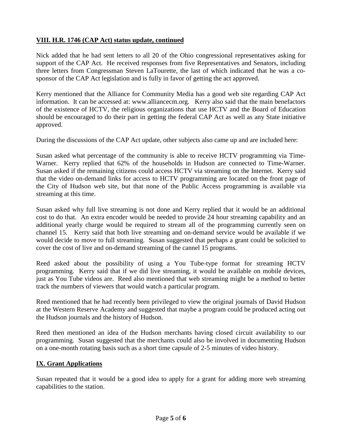# **VIII. H.R. 1746 (CAP Act) status update, continued**

Nick added that he had sent letters to all 20 of the Ohio congressional representatives asking for support of the CAP Act. He received responses from five Representatives and Senators, including three letters from Congressman Steven LaTourette, the last of which indicated that he was a cosponsor of the CAP Act legislation and is fully in favor of getting the act approved.

Kerry mentioned that the Alliance for Community Media has a good web site regarding CAP Act information. It can be accessed at: www.alliancecm.org. Kerry also said that the main benefactors of the existence of HCTV, the religious organizations that use HCTV and the Board of Education should be encouraged to do their part in getting the federal CAP Act as well as any State initiative approved.

During the discussions of the CAP Act update, other subjects also came up and are included here:

Susan asked what percentage of the community is able to receive HCTV programming via Time-Warner. Kerry replied that 62% of the households in Hudson are connected to Time-Warner. Susan asked if the remaining citizens could access HCTV via streaming on the Internet. Kerry said that the video on-demand links for access to HCTV programming are located on the front page of the City of Hudson web site, but that none of the Public Access programming is available via streaming at this time.

Susan asked why full live streaming is not done and Kerry replied that it would be an additional cost to do that. An extra encoder would be needed to provide 24 hour streaming capability and an additional yearly charge would be required to stream all of the programming currently seen on channel 15. Kerry said that both live streaming and on-demand service would be available if we would decide to move to full streaming. Susan suggested that perhaps a grant could be solicited to cover the cost of live and on-demand streaming of the cannel 15 programs.

Reed asked about the possibility of using a You Tube-type format for streaming HCTV programming. Kerry said that if we did live streaming, it would be available on mobile devices, just as You Tube videos are. Reed also mentioned that web streaming might be a method to better track the numbers of viewers that would watch a particular program.

Reed mentioned that he had recently been privileged to view the original journals of David Hudson at the Western Reserve Academy and suggested that maybe a program could be produced acting out the Hudson journals and the history of Hudson.

Reed then mentioned an idea of the Hudson merchants having closed circuit availability to our programming. Susan suggested that the merchants could also be involved in documenting Hudson on a one-month rotating basis such as a short time capsule of 2-5 minutes of video history.

## **IX. Grant Applications**

Susan repeated that it would be a good idea to apply for a grant for adding more web streaming capabilities to the station.